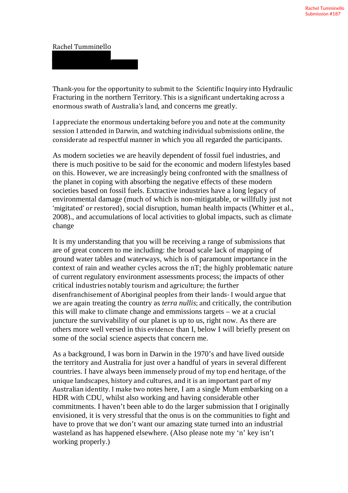## Rachel Tumminello

Thank-you for the opportunity to submit to the Scientific Inquiry into Hydraulic Fracturing in the northern Territory. This is a significant undertaking across a enormous swath of Australia's land, and concerns me greatly.

I appreciate the enormous undertaking before you and note at the community session I attended in Darwin, and watching individual submissions online, the considerate ad respectful manner in which you all regarded the participants.

As modern societies we are heavily dependent of fossil fuel industries, and there is much positive to be said for the economic and modern lifestyles based on this. However, we are increasingly being confronted with the smallness of the planet in coping with absorbing the negative effects of these modern societies based on fossil fuels. Extractive industries have a long legacy of environmental damage (much of which is non-mitigatable, or willfully just not 'migitated' or restored), social disruption, human health impacts (Whitter et al., 2008)., and accumulations of local activities to global impacts, such as climate change

It is my understanding that you will be receiving a range of submissions that are of great concern to me including: the broad scale lack of mapping of ground water tables and waterways, which is of paramount importance in the context of rain and weather cycles across the nT; the highly problematic nature of current regulatory environment assessments process; the impacts of other critical industries notably tourism and agriculture; the further disenfranchisement of Aboriginal peoples from their lands- I would argue that we are again treating the country as *terra nullis*; and critically, the contribution this will make to climate change and emmissions targets – we at a crucial juncture the survivability of our planet is up to us, right now. As there are others more well versed in this evidence than I, below I will briefly present on some of the social science aspects that concern me.

As a background, I was born in Darwin in the 1970's and have lived outside the territory and Australia for just over a handful of years in several different countries. I have always been immensely proud of my top end heritage, of the unique landscapes, history and cultures, and it is an important part of my Australian identity. I make two notes here, I am a single Mum embarking on a HDR with CDU, whilst also working and having considerable other commitments. I haven't been able to do the larger submission that I originally envisioned, it is very stressful that the onus is on the communities to fight and have to prove that we don't want our amazing state turned into an industrial wasteland as has happened elsewhere. (Also please note my 'n' key isn't working properly.)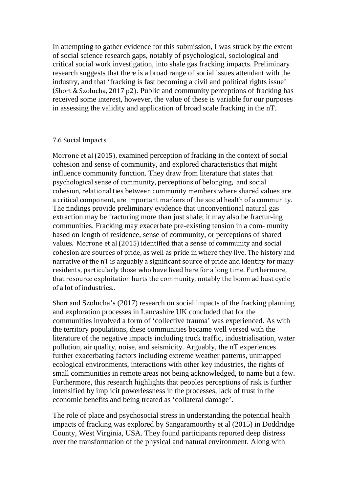In attempting to gather evidence for this submission, I was struck by the extent of social science research gaps, notably of psychological, sociological and critical social work investigation, into shale gas fracking impacts. Preliminary research suggests that there is a broad range of social issues attendant with the industry, and that 'fracking is fast becoming a civil and political rights issue' (Short & Szolucha, 2017 p2). Public and community perceptions of fracking has received some interest, however, the value of these is variable for our purposes in assessing the validity and application of broad scale fracking in the nT.

## 7.6 Social Impacts

Morrone et al (2015), examined perception of fracking in the context of social cohesion and sense of community, and explored characteristics that might influence community function. They draw from literature that states that psychological sense of community, perceptions of belonging, and social cohesion, relational ties between community members where shared values are a critical component, are important markers of the social health of a community. The findings provide preliminary evidence that unconventional natural gas extraction may be fracturing more than just shale; it may also be fractur-ing communities. Fracking may exacerbate pre-existing tension in a com- munity based on length of residence, sense of community, or perceptions of shared values. Morrone et al (2015) identified that a sense of community and social cohesion are sources of pride, as well as pride in where they live. The history and narrative of the nT is arguably a significant source of pride and identity for many residents, particularly those who have lived here for a long time. Furthermore, that resource exploitation hurts the community, notably the boom ad bust cycle of a lot of industries..

Short and Szolucha's (2017) research on social impacts of the fracking planning and exploration processes in Lancashire UK concluded that for the communities involved a form of 'collective trauma' was experienced. As with the territory populations, these communities became well versed with the literature of the negative impacts including truck traffic, industrialisation, water pollution, air quality, noise, and seismicity. Arguably, the nT experiences further exacerbating factors including extreme weather patterns, unmapped ecological environments, interactions with other key industries, the rights of small communities in remote areas not being acknowledged, to name but a few. Furthermore, this research highlights that peoples perceptions of risk is further intensified by implicit powerlessness in the processes, lack of trust in the economic benefits and being treated as 'collateral damage'.

The role of place and psychosocial stress in understanding the potential health impacts of fracking was explored by Sangaramoorthy et al (2015) in Doddridge County, West Virginia, USA. They found participants reported deep distress over the transformation of the physical and natural environment. Along with